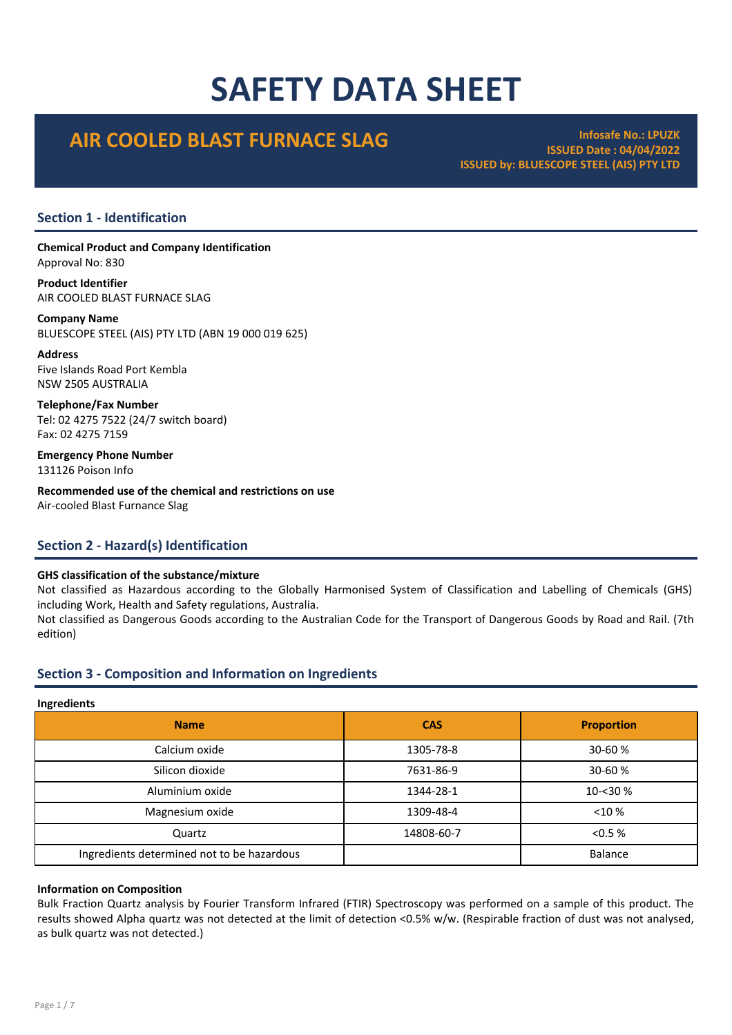# SAFETY DATA SHEET

# AIR COOLED BLAST FURNACE SLAG INFOSAFE NO.: LPUZK

ISSUED Date : 04/04/2022 ISSUED by: BLUESCOPE STEEL (AIS) PTY LTD

# Section 1 - Identification

Chemical Product and Company Identification Approval No: 830

Product Identifier AIR COOLED BLAST FURNACE SLAG

Company Name BLUESCOPE STEEL (AIS) PTY LTD (ABN 19 000 019 625)

Address Five Islands Road Port Kembla NSW 2505 AUSTRALIA

Telephone/Fax Number Tel: 02 4275 7522 (24/7 switch board) Fax: 02 4275 7159

Emergency Phone Number 131126 Poison Info

Recommended use of the chemical and restrictions on use Air-cooled Blast Furnance Slag

# Section 2 - Hazard(s) Identification

# GHS classification of the substance/mixture

Not classified as Hazardous according to the Globally Harmonised System of Classification and Labelling of Chemicals (GHS) including Work, Health and Safety regulations, Australia.

Not classified as Dangerous Goods according to the Australian Code for the Transport of Dangerous Goods by Road and Rail. (7th edition)

# Section 3 - Composition and Information on Ingredients

#### **Ingredients**

| <b>CAS</b> | <b>Proportion</b> |  |  |  |  |
|------------|-------------------|--|--|--|--|
| 1305-78-8  | 30-60 %           |  |  |  |  |
| 7631-86-9  | 30-60 %           |  |  |  |  |
| 1344-28-1  | 10-<30 %          |  |  |  |  |
| 1309-48-4  | $<$ 10 %          |  |  |  |  |
| 14808-60-7 | < 0.5 %           |  |  |  |  |
|            | <b>Balance</b>    |  |  |  |  |
|            |                   |  |  |  |  |

# Information on Composition

Bulk Fraction Quartz analysis by Fourier Transform Infrared (FTIR) Spectroscopy was performed on a sample of this product. The results showed Alpha quartz was not detected at the limit of detection <0.5% w/w. (Respirable fraction of dust was not analysed, as bulk quartz was not detected.)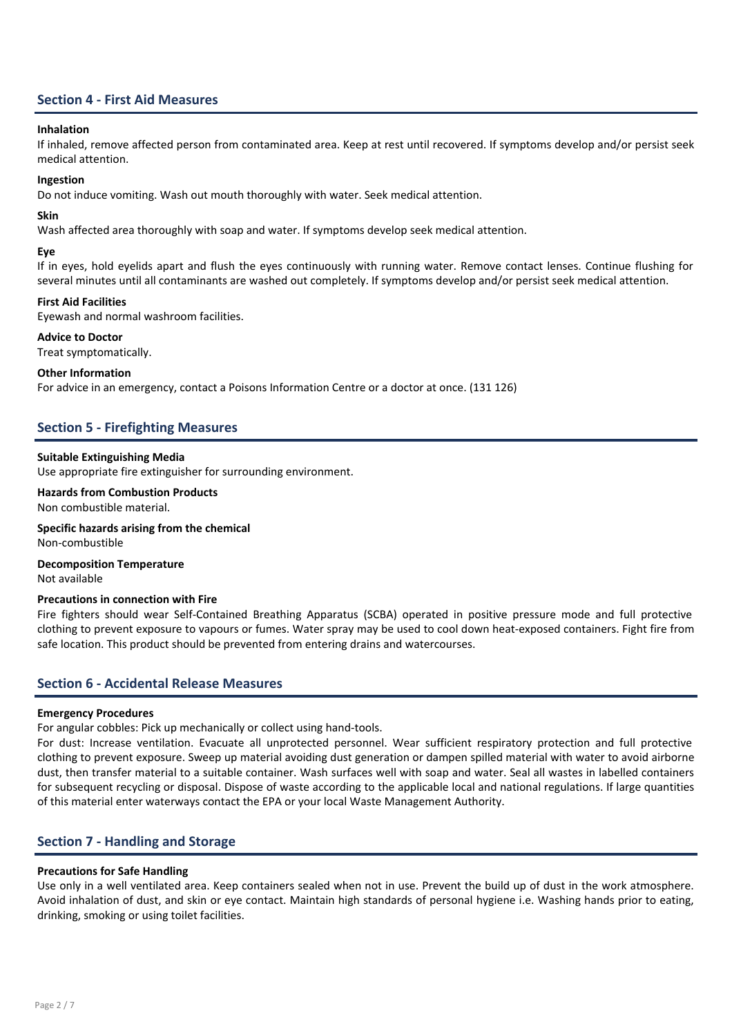# Section 4 - First Aid Measures

#### Inhalation

If inhaled, remove affected person from contaminated area. Keep at rest until recovered. If symptoms develop and/or persist seek medical attention.

#### Ingestion

Do not induce vomiting. Wash out mouth thoroughly with water. Seek medical attention.

# Skin

Wash affected area thoroughly with soap and water. If symptoms develop seek medical attention.

#### Eye

If in eyes, hold eyelids apart and flush the eyes continuously with running water. Remove contact lenses. Continue flushing for several minutes until all contaminants are washed out completely. If symptoms develop and/or persist seek medical attention.

# First Aid Facilities

Eyewash and normal washroom facilities.

#### Advice to Doctor

Treat symptomatically.

#### Other Information

For advice in an emergency, contact a Poisons Information Centre or a doctor at once. (131 126)

# Section 5 - Firefighting Measures

# Suitable Extinguishing Media

Use appropriate fire extinguisher for surrounding environment.

Hazards from Combustion Products Non combustible material.

# Specific hazards arising from the chemical

Non-combustible

#### Decomposition Temperature Not available

#### Precautions in connection with Fire

Fire fighters should wear Self-Contained Breathing Apparatus (SCBA) operated in positive pressure mode and full protective clothing to prevent exposure to vapours or fumes. Water spray may be used to cool down heat-exposed containers. Fight fire from safe location. This product should be prevented from entering drains and watercourses.

# Section 6 - Accidental Release Measures

#### Emergency Procedures

For angular cobbles: Pick up mechanically or collect using hand-tools.

For dust: Increase ventilation. Evacuate all unprotected personnel. Wear sufficient respiratory protection and full protective clothing to prevent exposure. Sweep up material avoiding dust generation or dampen spilled material with water to avoid airborne dust, then transfer material to a suitable container. Wash surfaces well with soap and water. Seal all wastes in labelled containers for subsequent recycling or disposal. Dispose of waste according to the applicable local and national regulations. If large quantities of this material enter waterways contact the EPA or your local Waste Management Authority.

# Section 7 - Handling and Storage

# Precautions for Safe Handling

Use only in a well ventilated area. Keep containers sealed when not in use. Prevent the build up of dust in the work atmosphere. Avoid inhalation of dust, and skin or eye contact. Maintain high standards of personal hygiene i.e. Washing hands prior to eating, drinking, smoking or using toilet facilities.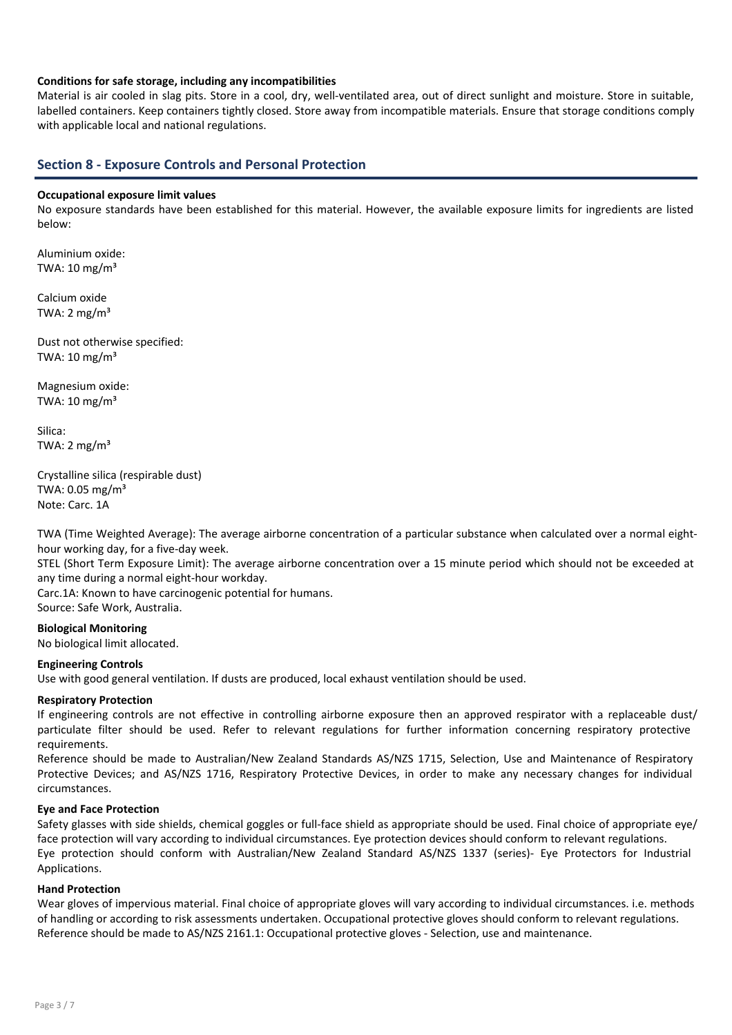# Conditions for safe storage, including any incompatibilities

Material is air cooled in slag pits. Store in a cool, dry, well-ventilated area, out of direct sunlight and moisture. Store in suitable, labelled containers. Keep containers tightly closed. Store away from incompatible materials. Ensure that storage conditions comply with applicable local and national regulations.

# Section 8 - Exposure Controls and Personal Protection

#### Occupational exposure limit values

No exposure standards have been established for this material. However, the available exposure limits for ingredients are listed below:

Aluminium oxide: TWA:  $10 \text{ mg/m}^3$ 

Calcium oxide TWA:  $2 \text{ mg/m}^3$ 

Dust not otherwise specified: TWA:  $10 \text{ mg/m}^3$ 

Magnesium oxide: TWA:  $10 \text{ mg/m}^3$ 

Silica: TWA:  $2 \text{ mg/m}^3$ 

Crystalline silica (respirable dust) TWA: 0.05 mg/m³ Note: Carc. 1A

TWA (Time Weighted Average): The average airborne concentration of a particular substance when calculated over a normal eighthour working day, for a five-day week.

STEL (Short Term Exposure Limit): The average airborne concentration over a 15 minute period which should not be exceeded at any time during a normal eight-hour workday.

Carc.1A: Known to have carcinogenic potential for humans.

Source: Safe Work, Australia.

# Biological Monitoring

No biological limit allocated.

# Engineering Controls

Use with good general ventilation. If dusts are produced, local exhaust ventilation should be used.

# Respiratory Protection

If engineering controls are not effective in controlling airborne exposure then an approved respirator with a replaceable dust/ particulate filter should be used. Refer to relevant regulations for further information concerning respiratory protective requirements.

Reference should be made to Australian/New Zealand Standards AS/NZS 1715, Selection, Use and Maintenance of Respiratory Protective Devices; and AS/NZS 1716, Respiratory Protective Devices, in order to make any necessary changes for individual circumstances.

# Eye and Face Protection

Safety glasses with side shields, chemical goggles or full-face shield as appropriate should be used. Final choice of appropriate eye/ face protection will vary according to individual circumstances. Eye protection devices should conform to relevant regulations. Eye protection should conform with Australian/New Zealand Standard AS/NZS 1337 (series)- Eye Protectors for Industrial Applications.

# Hand Protection

Wear gloves of impervious material. Final choice of appropriate gloves will vary according to individual circumstances. i.e. methods of handling or according to risk assessments undertaken. Occupational protective gloves should conform to relevant regulations. Reference should be made to AS/NZS 2161.1: Occupational protective gloves - Selection, use and maintenance.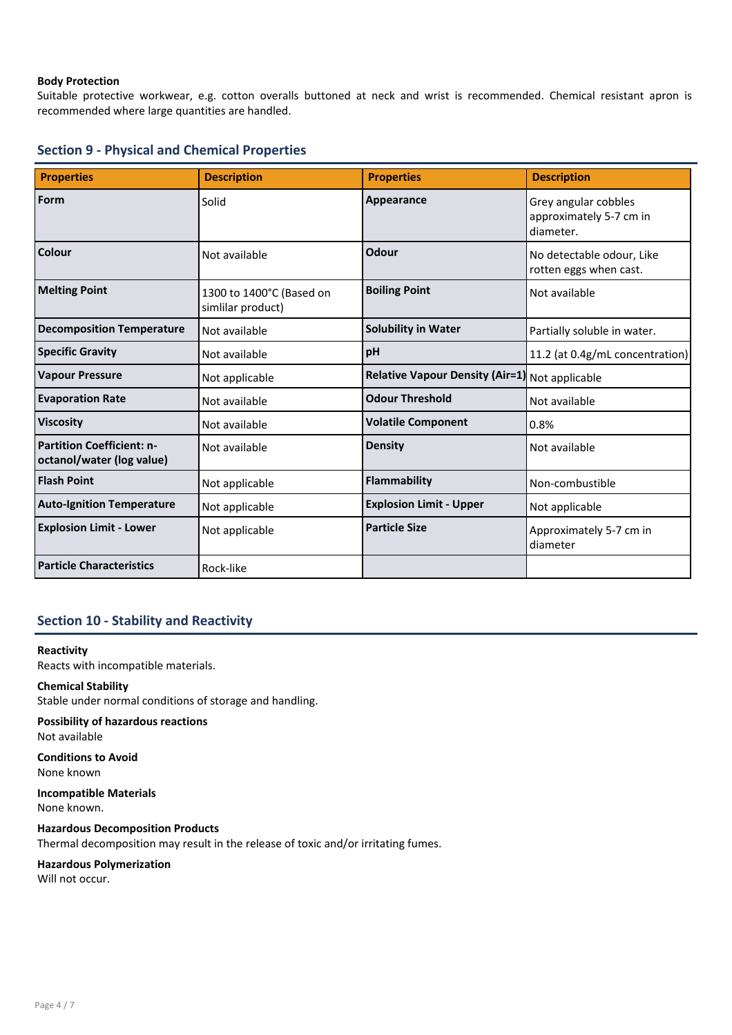# Body Protection

Suitable protective workwear, e.g. cotton overalls buttoned at neck and wrist is recommended. Chemical resistant apron is recommended where large quantities are handled.

|  |  |  |  | <b>Section 9 - Physical and Chemical Properties</b> |
|--|--|--|--|-----------------------------------------------------|
|--|--|--|--|-----------------------------------------------------|

| <b>Properties</b>                                             | <b>Description</b>                            | <b>Properties</b>                              | <b>Description</b>                                           |
|---------------------------------------------------------------|-----------------------------------------------|------------------------------------------------|--------------------------------------------------------------|
| Form                                                          | Solid                                         | Appearance                                     | Grey angular cobbles<br>approximately 5-7 cm in<br>diameter. |
| Colour                                                        | Not available                                 | Odour                                          | No detectable odour, Like<br>rotten eggs when cast.          |
| <b>Melting Point</b>                                          | 1300 to 1400°C (Based on<br>simlilar product) | <b>Boiling Point</b>                           | Not available                                                |
| <b>Decomposition Temperature</b>                              | Not available                                 | <b>Solubility in Water</b>                     | Partially soluble in water.                                  |
| <b>Specific Gravity</b>                                       | Not available                                 | pH                                             | 11.2 (at 0.4g/mL concentration)                              |
| <b>Vapour Pressure</b>                                        | Not applicable                                | Relative Vapour Density (Air=1) Not applicable |                                                              |
| <b>Evaporation Rate</b>                                       | Not available                                 | <b>Odour Threshold</b>                         | Not available                                                |
| <b>Viscosity</b>                                              | Not available                                 | <b>Volatile Component</b>                      | 0.8%                                                         |
| <b>Partition Coefficient: n-</b><br>octanol/water (log value) | Not available                                 | <b>Density</b>                                 | Not available                                                |
| <b>Flash Point</b>                                            | Not applicable                                | <b>Flammability</b>                            | Non-combustible                                              |
| <b>Auto-Ignition Temperature</b>                              | Not applicable                                | <b>Explosion Limit - Upper</b>                 | Not applicable                                               |
| <b>Explosion Limit - Lower</b>                                | Not applicable                                | <b>Particle Size</b>                           | Approximately 5-7 cm in<br>diameter                          |
| <b>Particle Characteristics</b>                               | Rock-like                                     |                                                |                                                              |

# Section 10 - Stability and Reactivity

Reactivity Reacts with incompatible materials.

# Chemical Stability

Stable under normal conditions of storage and handling.

#### Possibility of hazardous reactions Not available

Conditions to Avoid None known

Incompatible Materials None known.

Hazardous Decomposition Products Thermal decomposition may result in the release of toxic and/or irritating fumes.

# Hazardous Polymerization

Will not occur.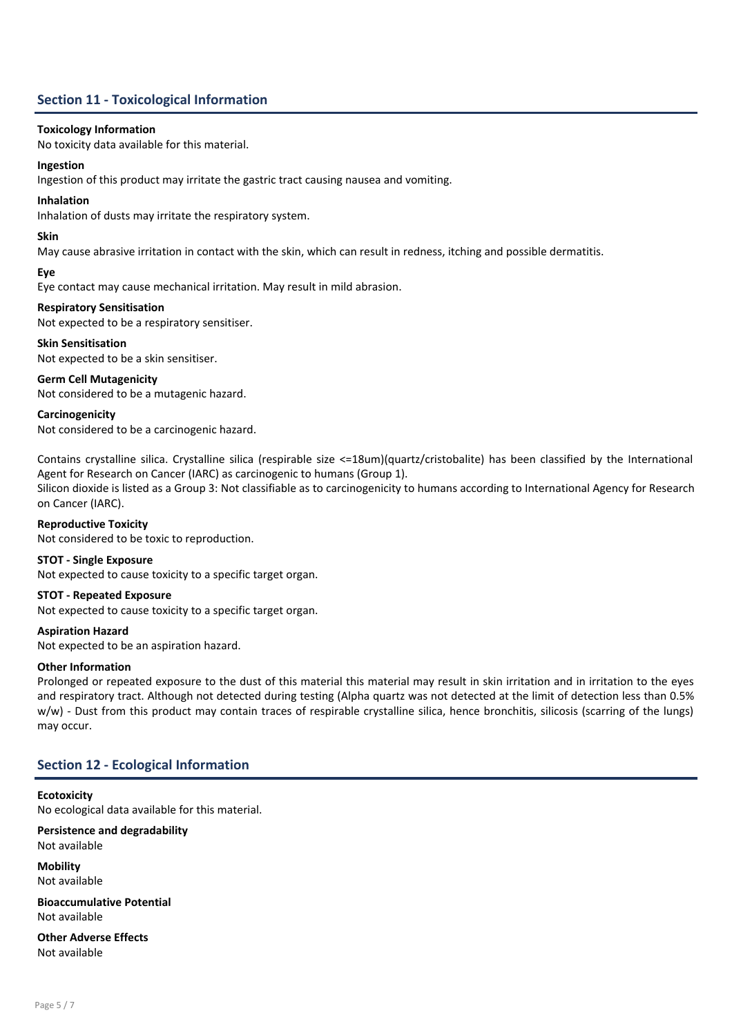# Section 11 - Toxicological Information

#### Toxicology Information

No toxicity data available for this material.

#### Ingestion

Ingestion of this product may irritate the gastric tract causing nausea and vomiting.

#### Inhalation

Inhalation of dusts may irritate the respiratory system.

#### Skin

May cause abrasive irritation in contact with the skin, which can result in redness, itching and possible dermatitis.

# Eye

Eye contact may cause mechanical irritation. May result in mild abrasion.

# Respiratory Sensitisation

Not expected to be a respiratory sensitiser.

#### Skin Sensitisation Not expected to be a skin sensitiser.

Germ Cell Mutagenicity

Not considered to be a mutagenic hazard.

**Carcinogenicity** Not considered to be a carcinogenic hazard.

Contains crystalline silica. Crystalline silica (respirable size <=18um)(quartz/cristobalite) has been classified by the International Agent for Research on Cancer (IARC) as carcinogenic to humans (Group 1).

Silicon dioxide is listed as a Group 3: Not classifiable as to carcinogenicity to humans according to International Agency for Research on Cancer (IARC).

Reproductive Toxicity Not considered to be toxic to reproduction.

# STOT - Single Exposure

Not expected to cause toxicity to a specific target organ.

# STOT - Repeated Exposure

Not expected to cause toxicity to a specific target organ.

Aspiration Hazard Not expected to be an aspiration hazard.

# Other Information

Prolonged or repeated exposure to the dust of this material this material may result in skin irritation and in irritation to the eyes and respiratory tract. Although not detected during testing (Alpha quartz was not detected at the limit of detection less than 0.5% w/w) - Dust from this product may contain traces of respirable crystalline silica, hence bronchitis, silicosis (scarring of the lungs) may occur.

# Section 12 - Ecological Information

**Ecotoxicity** No ecological data available for this material.

Persistence and degradability Not available

Mobility Not available

Bioaccumulative Potential Not available

Other Adverse Effects Not available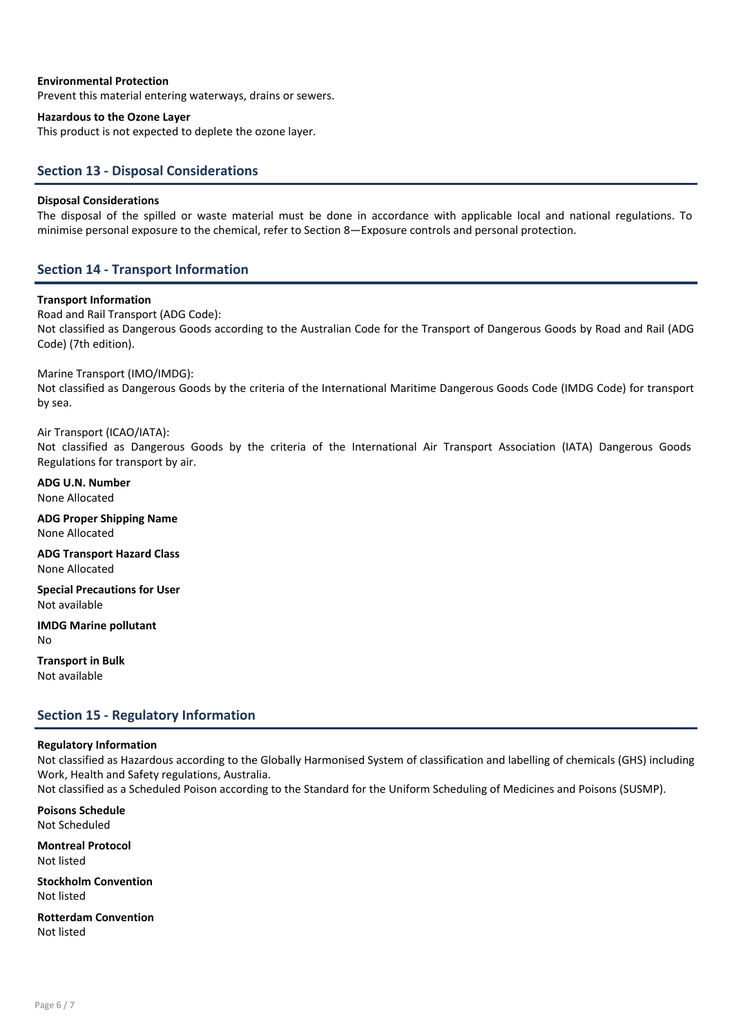#### Environmental Protection

Prevent this material entering waterways, drains or sewers.

#### Hazardous to the Ozone Layer

This product is not expected to deplete the ozone layer.

# Section 13 - Disposal Considerations

# Disposal Considerations

The disposal of the spilled or waste material must be done in accordance with applicable local and national regulations. To minimise personal exposure to the chemical, refer to Section 8—Exposure controls and personal protection.

# Section 14 - Transport Information

# Transport Information

Road and Rail Transport (ADG Code): Not classified as Dangerous Goods according to the Australian Code for the Transport of Dangerous Goods by Road and Rail (ADG Code) (7th edition).

# Marine Transport (IMO/IMDG):

Not classified as Dangerous Goods by the criteria of the International Maritime Dangerous Goods Code (IMDG Code) for transport by sea.

# Air Transport (ICAO/IATA):

Not classified as Dangerous Goods by the criteria of the International Air Transport Association (IATA) Dangerous Goods Regulations for transport by air.

ADG U.N. Number None Allocated

ADG Proper Shipping Name None Allocated

ADG Transport Hazard Class None Allocated

Special Precautions for User Not available

IMDG Marine pollutant No

Transport in Bulk Not available

# Section 15 - Regulatory Information

#### Regulatory Information

Not classified as Hazardous according to the Globally Harmonised System of classification and labelling of chemicals (GHS) including Work, Health and Safety regulations, Australia.

Not classified as a Scheduled Poison according to the Standard for the Uniform Scheduling of Medicines and Poisons (SUSMP).

Poisons Schedule Not Scheduled

Montreal Protocol Not listed

Stockholm Convention Not listed

Rotterdam Convention Not listed